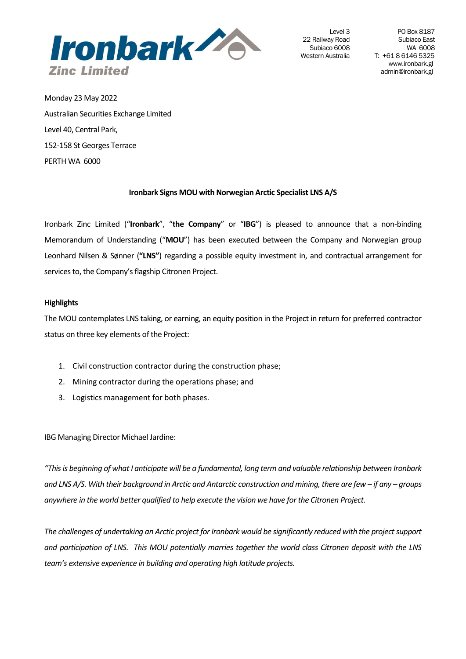

Level 3 22 Railway Road Subiaco 6008 Western Australia

PO Box 8187 Subiaco East WA 6008 T: +61 8 6146 5325 [www.ironbark.gl](http://www.ironbark.gl/) admin@ironbark.gl

Monday 23 May 2022 Australian Securities Exchange Limited Level 40, Central Park, 152-158 St Georges Terrace PERTH WA 6000

# **Ironbark Signs MOU with Norwegian Arctic Specialist LNS A/S**

Ironbark Zinc Limited ("**Ironbark**", "**the Company**" or "**IBG**") is pleased to announce that a non-binding Memorandum of Understanding ("**MOU**") has been executed between the Company and Norwegian group Leonhard Nilsen & Sønner (**"LNS"**) regarding a possible equity investment in, and contractual arrangement for services to, the Company's flagship Citronen Project.

## **Highlights**

The MOU contemplates LNS taking, or earning, an equity position in the Project in return for preferred contractor status on three key elements of the Project:

- 1. Civil construction contractor during the construction phase;
- 2. Mining contractor during the operations phase; and
- 3. Logistics management for both phases.

IBG Managing Director Michael Jardine:

*"This is beginning of what I anticipate will be a fundamental, long term and valuable relationship between Ironbark and LNS A/S. With their background in Arctic and Antarctic construction and mining, there are few – if any – groups anywhere in the world better qualified to help execute the vision we have for the Citronen Project.* 

*The challenges of undertaking an Arctic project for Ironbark would be significantly reduced with the project support and participation of LNS. This MOU potentially marries together the world class Citronen deposit with the LNS team's extensive experience in building and operating high latitude projects.*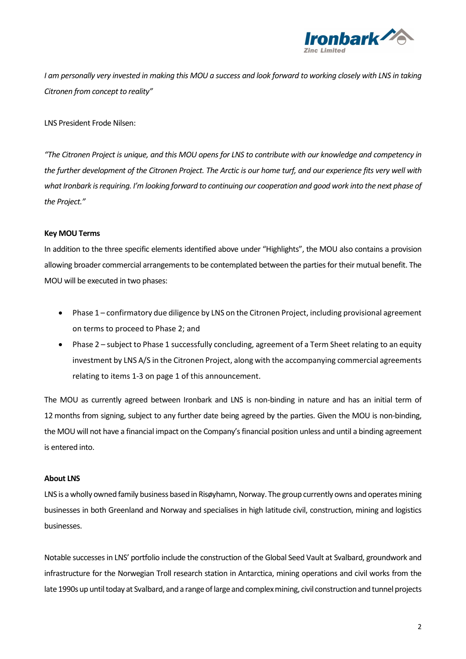

*I am personally very invested in making this MOU a success and look forward to working closely with LNS in taking Citronen from concept to reality"*

LNS President Frode Nilsen:

*"The Citronen Project is unique, and this MOU opens for LNS to contribute with our knowledge and competency in the further development of the Citronen Project. The Arctic is our home turf, and our experience fits very well with what Ironbark is requiring. I'm looking forward to continuing our cooperation and good work into the next phase of the Project."*

#### **Key MOU Terms**

In addition to the three specific elements identified above under "Highlights", the MOU also contains a provision allowing broader commercial arrangements to be contemplated between the parties for their mutual benefit. The MOU will be executed in two phases:

- Phase 1 confirmatory due diligence by LNS on the Citronen Project, including provisional agreement on terms to proceed to Phase 2; and
- Phase 2 subject to Phase 1 successfully concluding, agreement of a Term Sheet relating to an equity investment by LNS A/S in the Citronen Project, along with the accompanying commercial agreements relating to items 1-3 on page 1 of this announcement.

The MOU as currently agreed between Ironbark and LNS is non-binding in nature and has an initial term of 12 months from signing, subject to any further date being agreed by the parties. Given the MOU is non-binding, the MOU will not have a financial impact on the Company's financial position unless and until a binding agreement is entered into.

#### **About LNS**

LNS is a wholly owned family business based in Risøyhamn, Norway. The group currently owns and operates mining businesses in both Greenland and Norway and specialises in high latitude civil, construction, mining and logistics businesses.

Notable successesin LNS' portfolio include the construction of the Global Seed Vault at Svalbard, groundwork and infrastructure for the Norwegian Troll research station in Antarctica, mining operations and civil works from the late 1990s up until today at Svalbard, and a range of large and complex mining, civil construction and tunnel projects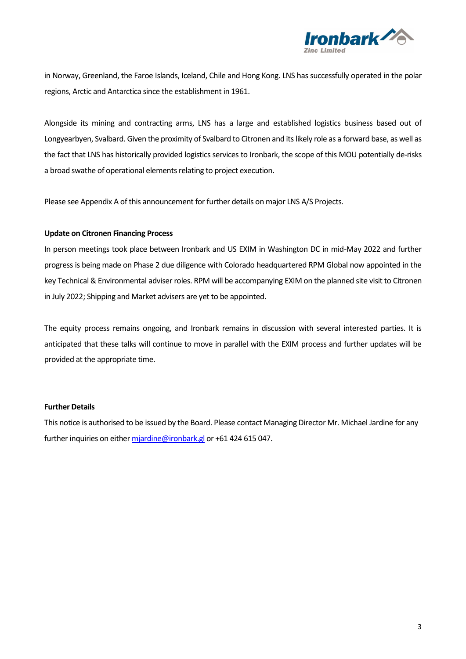

in Norway, Greenland, the Faroe Islands, Iceland, Chile and Hong Kong. LNS has successfully operated in the polar regions, Arctic and Antarctica since the establishment in 1961.

Alongside its mining and contracting arms, LNS has a large and established logistics business based out of Longyearbyen, Svalbard. Given the proximity of Svalbard to Citronen and its likely role as a forward base, as well as the fact that LNS has historically provided logistics services to Ironbark, the scope of this MOU potentially de-risks a broad swathe of operational elements relating to project execution.

Please see Appendix A of this announcement for further details on major LNS A/S Projects.

#### **Update on Citronen Financing Process**

In person meetings took place between Ironbark and US EXIM in Washington DC in mid-May 2022 and further progress is being made on Phase 2 due diligence with Colorado headquartered RPM Global now appointed in the key Technical & Environmental adviser roles. RPM will be accompanying EXIM on the planned site visit to Citronen in July 2022; Shipping and Market advisers are yet to be appointed.

The equity process remains ongoing, and Ironbark remains in discussion with several interested parties. It is anticipated that these talks will continue to move in parallel with the EXIM process and further updates will be provided at the appropriate time.

## **Further Details**

This notice is authorised to be issued by the Board. Please contact Managing Director Mr. Michael Jardine for any further inquiries on eithe[r mjardine@ironbark.gl](mailto:mjardine@ironbark.gl) or +61 424 615 047.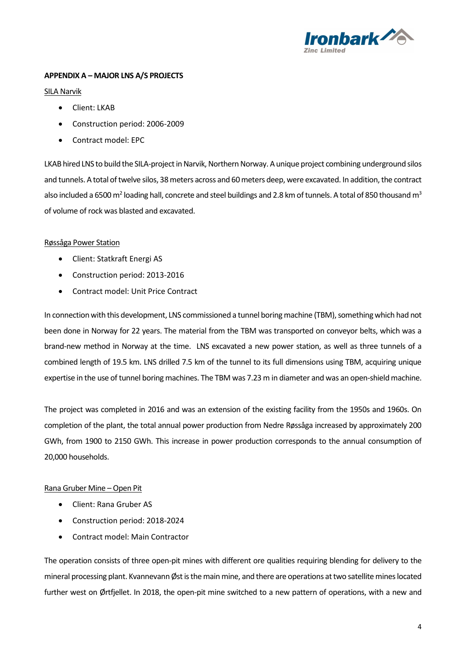

# **APPENDIX A – MAJOR LNS A/S PROJECTS**

#### SILA Narvik

- Client: LKAB
- Construction period: 2006-2009
- Contract model: EPC

LKAB hired LNS to build the SILA-project in Narvik, Northern Norway. A unique project combining underground silos and tunnels. A total of twelve silos, 38 meters across and 60 meters deep, were excavated. In addition, the contract also included a 6500 m<sup>2</sup> loading hall, concrete and steel buildings and 2.8 km of tunnels. A total of 850 thousand m<sup>3</sup> of volume of rock was blasted and excavated.

## Røssåga Power Station

- Client: Statkraft Energi AS
- Construction period: 2013-2016
- Contract model: Unit Price Contract

In connection with this development, LNS commissioned a tunnel boring machine (TBM), something which had not been done in Norway for 22 years. The material from the TBM was transported on conveyor belts, which was a brand-new method in Norway at the time. LNS excavated a new power station, as well as three tunnels of a combined length of 19.5 km. LNS drilled 7.5 km of the tunnel to its full dimensions using TBM, acquiring unique expertise in the use of tunnel boring machines. The TBM was 7.23 m in diameter and was an open-shield machine.

The project was completed in 2016 and was an extension of the existing facility from the 1950s and 1960s. On completion of the plant, the total annual power production from Nedre Røssåga increased by approximately 200 GWh, from 1900 to 2150 GWh. This increase in power production corresponds to the annual consumption of 20,000 households.

## Rana Gruber Mine – Open Pit

- Client: Rana Gruber AS
- Construction period: 2018-2024
- Contract model: Main Contractor

The operation consists of three open-pit mines with different ore qualities requiring blending for delivery to the mineral processing plant. Kvannevann Øst is the main mine, and there are operations at two satellite mines located further west on Ørtfjellet. In 2018, the open-pit mine switched to a new pattern of operations, with a new and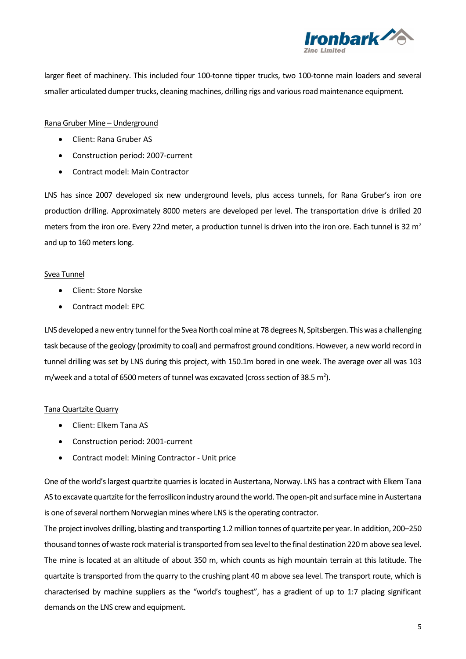

larger fleet of machinery. This included four 100-tonne tipper trucks, two 100-tonne main loaders and several smaller articulated dumper trucks, cleaning machines, drilling rigs and various road maintenance equipment.

#### Rana Gruber Mine – Underground

- Client: Rana Gruber AS
- Construction period: 2007-current
- Contract model: Main Contractor

LNS has since 2007 developed six new underground levels, plus access tunnels, for Rana Gruber's iron ore production drilling. Approximately 8000 meters are developed per level. The transportation drive is drilled 20 meters from the iron ore. Every 22nd meter, a production tunnel is driven into the iron ore. Each tunnel is 32  $m<sup>2</sup>$ and up to 160 meters long.

## Svea Tunnel

- Client: Store Norske
- Contract model: EPC

LNS developed a new entry tunnel for the Svea North coal mine at 78 degrees N, Spitsbergen. This was a challenging task because of the geology (proximity to coal) and permafrost ground conditions. However, a new world record in tunnel drilling was set by LNS during this project, with 150.1m bored in one week. The average over all was 103 m/week and a total of 6500 meters of tunnel was excavated (cross section of 38.5 m<sup>2</sup>).

## Tana Quartzite Quarry

- Client: Elkem Tana AS
- Construction period: 2001-current
- Contract model: Mining Contractor Unit price

One of the world's largest quartzite quarries is located in Austertana, Norway. LNS has a contract with Elkem Tana AS to excavate quartzite for the ferrosilicon industry around the world. The open-pit and surface mine in Austertana is one of several northern Norwegian mines where LNS is the operating contractor.

The project involves drilling, blasting and transporting 1.2 million tonnes of quartzite per year. In addition, 200–250 thousand tonnes of waste rock material is transported from sea level to the final destination 220 m above sea level. The mine is located at an altitude of about 350 m, which counts as high mountain terrain at this latitude. The quartzite is transported from the quarry to the crushing plant 40 m above sea level. The transport route, which is characterised by machine suppliers as the "world's toughest", has a gradient of up to 1:7 placing significant demands on the LNS crew and equipment.